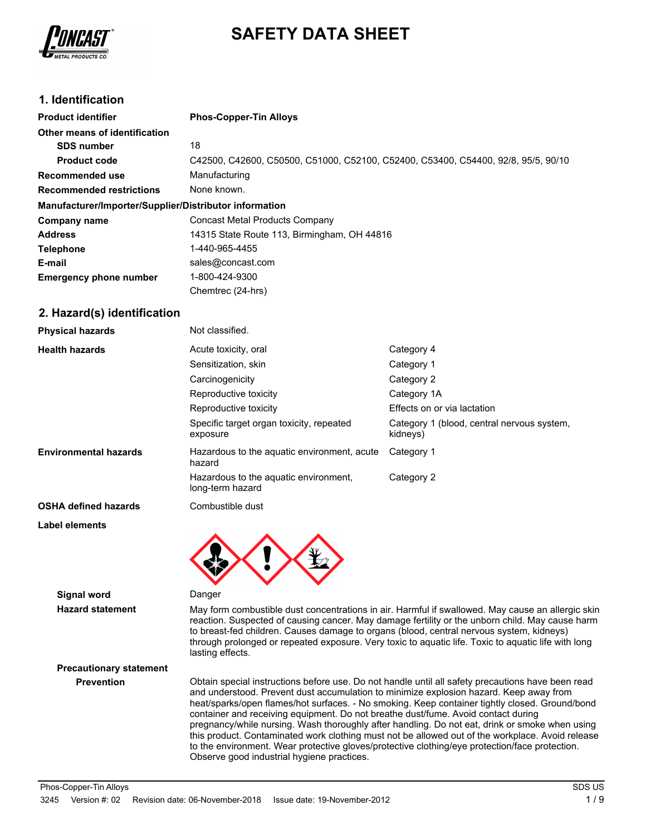

# **SAFETY DATA SHEET**

# **1. Identification**

| <b>Product identifier</b>                              | <b>Phos-Copper-Tin Alloys</b>                                                     |
|--------------------------------------------------------|-----------------------------------------------------------------------------------|
| Other means of identification                          |                                                                                   |
| <b>SDS number</b>                                      | 18                                                                                |
| <b>Product code</b>                                    | C42500, C42600, C50500, C51000, C52100, C52400, C53400, C54400, 92/8, 95/5, 90/10 |
| Recommended use                                        | Manufacturing                                                                     |
| <b>Recommended restrictions</b>                        | None known.                                                                       |
| Manufacturer/Importer/Supplier/Distributor information |                                                                                   |
| Company name                                           | Concast Metal Products Company                                                    |
| <b>Address</b>                                         | 14315 State Route 113, Birmingham, OH 44816                                       |
| <b>Telephone</b>                                       | 1-440-965-4455                                                                    |
| E-mail                                                 | sales@concast.com                                                                 |
| <b>Emergency phone number</b>                          | 1-800-424-9300                                                                    |
|                                                        | Chemtrec (24-hrs)                                                                 |

### **2. Hazard(s) identification**

| <b>Physical hazards</b>      | Not classified.                                           |                                                        |
|------------------------------|-----------------------------------------------------------|--------------------------------------------------------|
| <b>Health hazards</b>        | Acute toxicity, oral                                      | Category 4                                             |
|                              | Sensitization, skin                                       | Category 1                                             |
|                              | Carcinogenicity                                           | Category 2                                             |
|                              | Reproductive toxicity                                     | Category 1A                                            |
|                              | Reproductive toxicity                                     | Effects on or via lactation                            |
|                              | Specific target organ toxicity, repeated<br>exposure      | Category 1 (blood, central nervous system,<br>kidneys) |
| <b>Environmental hazards</b> | Hazardous to the aquatic environment, acute<br>hazard     | Category 1                                             |
|                              | Hazardous to the aguatic environment.<br>long-term hazard | Category 2                                             |
| <b>OSHA defined hazards</b>  | Combustible dust                                          |                                                        |
| Label elements               |                                                           |                                                        |



### **Hazard statement** May form combustible dust concentrations in air. Harmful if swallowed. May cause an allergic skin reaction. Suspected of causing cancer. May damage fertility or the unborn child. May cause harm to breast-fed children. Causes damage to organs (blood, central nervous system, kidneys) through prolonged or repeated exposure. Very toxic to aquatic life. Toxic to aquatic life with long lasting effects.

**Precautionary statement**

**Prevention** Obtain special instructions before use. Do not handle until all safety precautions have been read and understood. Prevent dust accumulation to minimize explosion hazard. Keep away from heat/sparks/open flames/hot surfaces. - No smoking. Keep container tightly closed. Ground/bond container and receiving equipment. Do not breathe dust/fume. Avoid contact during pregnancy/while nursing. Wash thoroughly after handling. Do not eat, drink or smoke when using this product. Contaminated work clothing must not be allowed out of the workplace. Avoid release to the environment. Wear protective gloves/protective clothing/eye protection/face protection. Observe good industrial hygiene practices.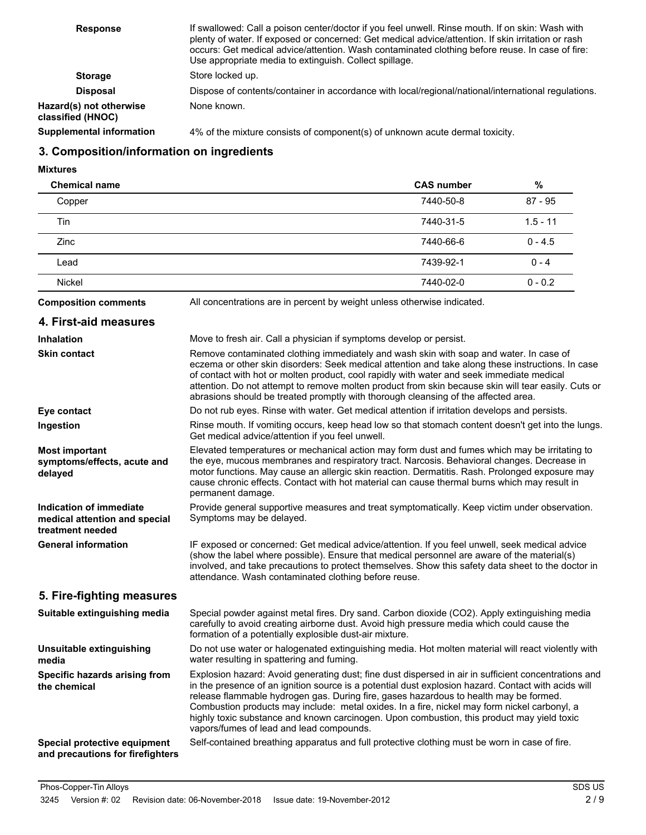| <b>Response</b>                              | If swallowed: Call a poison center/doctor if you feel unwell. Rinse mouth. If on skin: Wash with<br>plenty of water. If exposed or concerned: Get medical advice/attention. If skin irritation or rash<br>occurs: Get medical advice/attention. Wash contaminated clothing before reuse. In case of fire:<br>Use appropriate media to extinguish. Collect spillage. |
|----------------------------------------------|---------------------------------------------------------------------------------------------------------------------------------------------------------------------------------------------------------------------------------------------------------------------------------------------------------------------------------------------------------------------|
| <b>Storage</b>                               | Store locked up.                                                                                                                                                                                                                                                                                                                                                    |
| <b>Disposal</b>                              | Dispose of contents/container in accordance with local/regional/national/international regulations.                                                                                                                                                                                                                                                                 |
| Hazard(s) not otherwise<br>classified (HNOC) | None known.                                                                                                                                                                                                                                                                                                                                                         |
| <b>Supplemental information</b>              | 4% of the mixture consists of component(s) of unknown acute dermal toxicity.                                                                                                                                                                                                                                                                                        |

# **3. Composition/information on ingredients**

**Mixtures**

| <b>Chemical name</b>                                            |                                                                                                                                                                                                                                                                                                                                                                                                                                                                                       | <b>CAS number</b> | %          |
|-----------------------------------------------------------------|---------------------------------------------------------------------------------------------------------------------------------------------------------------------------------------------------------------------------------------------------------------------------------------------------------------------------------------------------------------------------------------------------------------------------------------------------------------------------------------|-------------------|------------|
| Copper                                                          |                                                                                                                                                                                                                                                                                                                                                                                                                                                                                       | 7440-50-8         | $87 - 95$  |
| Tin                                                             |                                                                                                                                                                                                                                                                                                                                                                                                                                                                                       | 7440-31-5         | $1.5 - 11$ |
| Zinc                                                            |                                                                                                                                                                                                                                                                                                                                                                                                                                                                                       | 7440-66-6         | $0 - 4.5$  |
| Lead                                                            |                                                                                                                                                                                                                                                                                                                                                                                                                                                                                       | 7439-92-1         | $0 - 4$    |
| Nickel                                                          |                                                                                                                                                                                                                                                                                                                                                                                                                                                                                       | 7440-02-0         | $0 - 0.2$  |
| <b>Composition comments</b>                                     | All concentrations are in percent by weight unless otherwise indicated.                                                                                                                                                                                                                                                                                                                                                                                                               |                   |            |
| 4. First-aid measures                                           |                                                                                                                                                                                                                                                                                                                                                                                                                                                                                       |                   |            |
| <b>Inhalation</b>                                               | Move to fresh air. Call a physician if symptoms develop or persist.                                                                                                                                                                                                                                                                                                                                                                                                                   |                   |            |
| <b>Skin contact</b>                                             | Remove contaminated clothing immediately and wash skin with soap and water. In case of<br>eczema or other skin disorders: Seek medical attention and take along these instructions. In case<br>of contact with hot or molten product, cool rapidly with water and seek immediate medical<br>attention. Do not attempt to remove molten product from skin because skin will tear easily. Cuts or<br>abrasions should be treated promptly with thorough cleansing of the affected area. |                   |            |
| Eye contact                                                     | Do not rub eyes. Rinse with water. Get medical attention if irritation develops and persists.                                                                                                                                                                                                                                                                                                                                                                                         |                   |            |
| Ingestion                                                       | Rinse mouth. If vomiting occurs, keep head low so that stomach content doesn't get into the lungs.<br>Get medical advice/attention if you feel unwell.                                                                                                                                                                                                                                                                                                                                |                   |            |
| <b>Most important</b><br>symptoms/effects, acute and<br>delayed | Elevated temperatures or mechanical action may form dust and fumes which may be irritating to<br>the eye, mucous membranes and respiratory tract. Narcosis. Behavioral changes. Decrease in<br>motor functions. May cause an allergic skin reaction. Dermatitis. Rash. Prolonged exposure may<br>cause chronic effects. Contact with hot material can cause thermal burns which may result in<br>permanent damage.                                                                    |                   |            |
| Indication of immediate<br>medical attention and special        | Provide general supportive measures and treat symptomatically. Keep victim under observation.<br>Symptoms may be delayed.                                                                                                                                                                                                                                                                                                                                                             |                   |            |

IF exposed or concerned: Get medical advice/attention. If you feel unwell, seek medical advice (show the label where possible). Ensure that medical personnel are aware of the material(s) involved, and take precautions to protect themselves. Show this safety data sheet to the doctor in attendance. Wash contaminated clothing before reuse. **General information**

## **5. Fire-fighting measures**

**treatment needed**

| Suitable extinguishing media                                     | Special powder against metal fires. Dry sand. Carbon dioxide (CO2). Apply extinguishing media<br>carefully to avoid creating airborne dust. Avoid high pressure media which could cause the<br>formation of a potentially explosible dust-air mixture.                                                                                                                                                                                                                                                                                         |
|------------------------------------------------------------------|------------------------------------------------------------------------------------------------------------------------------------------------------------------------------------------------------------------------------------------------------------------------------------------------------------------------------------------------------------------------------------------------------------------------------------------------------------------------------------------------------------------------------------------------|
| Unsuitable extinguishing<br>media                                | Do not use water or halogenated extinguishing media. Hot molten material will react violently with<br>water resulting in spattering and fuming.                                                                                                                                                                                                                                                                                                                                                                                                |
| Specific hazards arising from<br>the chemical                    | Explosion hazard: Avoid generating dust; fine dust dispersed in air in sufficient concentrations and<br>in the presence of an ignition source is a potential dust explosion hazard. Contact with acids will<br>release flammable hydrogen gas. During fire, gases hazardous to health may be formed.<br>Combustion products may include: metal oxides. In a fire, nickel may form nickel carbonyl, a<br>highly toxic substance and known carcinogen. Upon combustion, this product may yield toxic<br>vapors/fumes of lead and lead compounds. |
| Special protective equipment<br>and precautions for firefighters | Self-contained breathing apparatus and full protective clothing must be worn in case of fire.                                                                                                                                                                                                                                                                                                                                                                                                                                                  |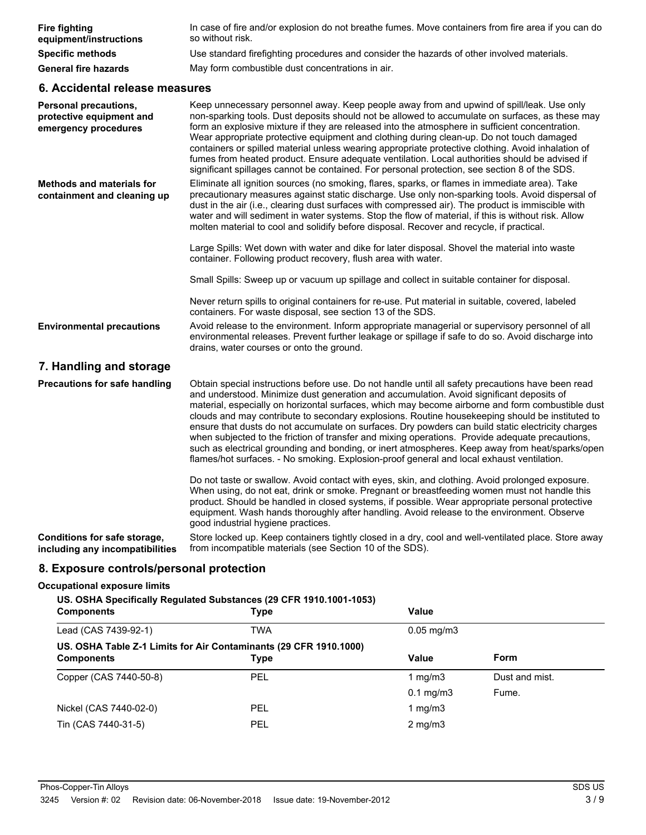| <b>Fire fighting</b><br>equipment/instructions                                   | In case of fire and/or explosion do not breathe fumes. Move containers from fire area if you can do<br>so without risk.                                                                                                                                                                                                                                                                                                                                                                                                                                                                                                                                                                                                                                                                                      |
|----------------------------------------------------------------------------------|--------------------------------------------------------------------------------------------------------------------------------------------------------------------------------------------------------------------------------------------------------------------------------------------------------------------------------------------------------------------------------------------------------------------------------------------------------------------------------------------------------------------------------------------------------------------------------------------------------------------------------------------------------------------------------------------------------------------------------------------------------------------------------------------------------------|
| <b>Specific methods</b>                                                          | Use standard firefighting procedures and consider the hazards of other involved materials.                                                                                                                                                                                                                                                                                                                                                                                                                                                                                                                                                                                                                                                                                                                   |
| <b>General fire hazards</b>                                                      | May form combustible dust concentrations in air.                                                                                                                                                                                                                                                                                                                                                                                                                                                                                                                                                                                                                                                                                                                                                             |
| 6. Accidental release measures                                                   |                                                                                                                                                                                                                                                                                                                                                                                                                                                                                                                                                                                                                                                                                                                                                                                                              |
| <b>Personal precautions,</b><br>protective equipment and<br>emergency procedures | Keep unnecessary personnel away. Keep people away from and upwind of spill/leak. Use only<br>non-sparking tools. Dust deposits should not be allowed to accumulate on surfaces, as these may<br>form an explosive mixture if they are released into the atmosphere in sufficient concentration.<br>Wear appropriate protective equipment and clothing during clean-up. Do not touch damaged<br>containers or spilled material unless wearing appropriate protective clothing. Avoid inhalation of<br>fumes from heated product. Ensure adequate ventilation. Local authorities should be advised if<br>significant spillages cannot be contained. For personal protection, see section 8 of the SDS.                                                                                                         |
| <b>Methods and materials for</b><br>containment and cleaning up                  | Eliminate all ignition sources (no smoking, flares, sparks, or flames in immediate area). Take<br>precautionary measures against static discharge. Use only non-sparking tools. Avoid dispersal of<br>dust in the air (i.e., clearing dust surfaces with compressed air). The product is immiscible with<br>water and will sediment in water systems. Stop the flow of material, if this is without risk. Allow<br>molten material to cool and solidify before disposal. Recover and recycle, if practical.                                                                                                                                                                                                                                                                                                  |
|                                                                                  | Large Spills: Wet down with water and dike for later disposal. Shovel the material into waste<br>container. Following product recovery, flush area with water.                                                                                                                                                                                                                                                                                                                                                                                                                                                                                                                                                                                                                                               |
|                                                                                  | Small Spills: Sweep up or vacuum up spillage and collect in suitable container for disposal.                                                                                                                                                                                                                                                                                                                                                                                                                                                                                                                                                                                                                                                                                                                 |
|                                                                                  | Never return spills to original containers for re-use. Put material in suitable, covered, labeled<br>containers. For waste disposal, see section 13 of the SDS.                                                                                                                                                                                                                                                                                                                                                                                                                                                                                                                                                                                                                                              |
| <b>Environmental precautions</b>                                                 | Avoid release to the environment. Inform appropriate managerial or supervisory personnel of all<br>environmental releases. Prevent further leakage or spillage if safe to do so. Avoid discharge into<br>drains, water courses or onto the ground.                                                                                                                                                                                                                                                                                                                                                                                                                                                                                                                                                           |
| 7. Handling and storage                                                          |                                                                                                                                                                                                                                                                                                                                                                                                                                                                                                                                                                                                                                                                                                                                                                                                              |
| <b>Precautions for safe handling</b>                                             | Obtain special instructions before use. Do not handle until all safety precautions have been read<br>and understood. Minimize dust generation and accumulation. Avoid significant deposits of<br>material, especially on horizontal surfaces, which may become airborne and form combustible dust<br>clouds and may contribute to secondary explosions. Routine housekeeping should be instituted to<br>ensure that dusts do not accumulate on surfaces. Dry powders can build static electricity charges<br>when subjected to the friction of transfer and mixing operations. Provide adequate precautions,<br>such as electrical grounding and bonding, or inert atmospheres. Keep away from heat/sparks/open<br>flames/hot surfaces. - No smoking. Explosion-proof general and local exhaust ventilation. |
|                                                                                  | Do not taste or swallow. Avoid contact with eyes, skin, and clothing. Avoid prolonged exposure.<br>When using, do not eat, drink or smoke. Pregnant or breastfeeding women must not handle this<br>product. Should be handled in closed systems, if possible. Wear appropriate personal protective<br>equipment. Wash hands thoroughly after handling. Avoid release to the environment. Observe<br>good industrial hygiene practices.                                                                                                                                                                                                                                                                                                                                                                       |
| Conditions for safe storage,<br>including any incompatibilities                  | Store locked up. Keep containers tightly closed in a dry, cool and well-ventilated place. Store away<br>from incompatible materials (see Section 10 of the SDS).                                                                                                                                                                                                                                                                                                                                                                                                                                                                                                                                                                                                                                             |

# **8. Exposure controls/personal protection**

### **Occupational exposure limits**

### **US. OSHA Specifically Regulated Substances (29 CFR 1910.1001-1053)**

| <b>Components</b>                                                                      | <b>Type</b> | Value           |                |  |
|----------------------------------------------------------------------------------------|-------------|-----------------|----------------|--|
| Lead (CAS 7439-92-1)                                                                   | TWA         | $0.05$ mg/m $3$ |                |  |
| US. OSHA Table Z-1 Limits for Air Contaminants (29 CFR 1910.1000)<br><b>Components</b> | Type        | Value           | <b>Form</b>    |  |
| Copper (CAS 7440-50-8)                                                                 | <b>PEL</b>  | 1 $mq/m3$       | Dust and mist. |  |
|                                                                                        |             | $0.1$ mg/m $3$  | Fume.          |  |
| Nickel (CAS 7440-02-0)                                                                 | <b>PEL</b>  | 1 $mq/m3$       |                |  |
| Tin (CAS 7440-31-5)                                                                    | <b>PEL</b>  | $2$ mg/m $3$    |                |  |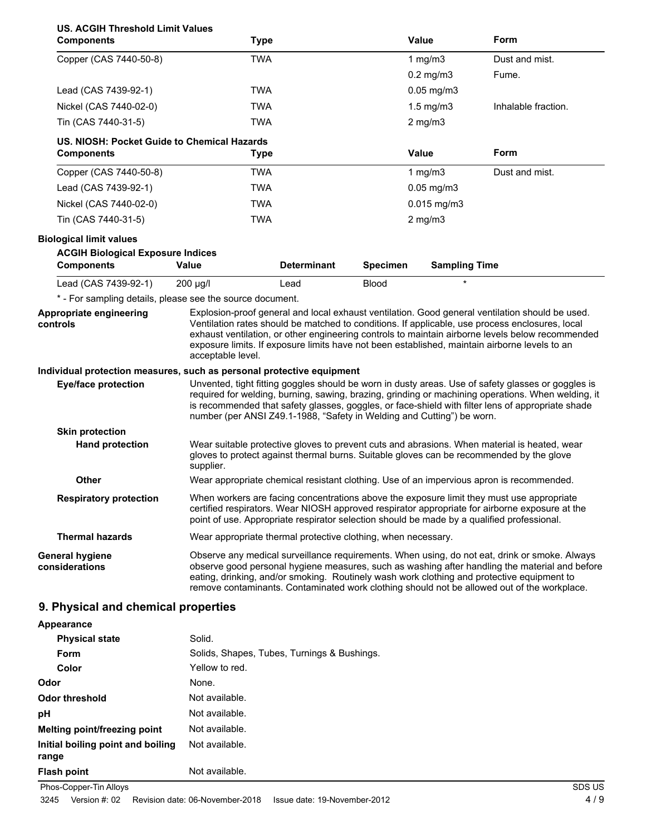|  | US. ACGIH Threshold Limit Values |  |
|--|----------------------------------|--|
|  |                                  |  |

| 00. ACQIIT TIII ESIIOIU LIIIIII VAIUES<br><b>Components</b>           | <b>Type</b>                                                                                |                    |                 | Value                | Form                                                                                                                                                                                                                                                                                                                                                                                                    |
|-----------------------------------------------------------------------|--------------------------------------------------------------------------------------------|--------------------|-----------------|----------------------|---------------------------------------------------------------------------------------------------------------------------------------------------------------------------------------------------------------------------------------------------------------------------------------------------------------------------------------------------------------------------------------------------------|
| Copper (CAS 7440-50-8)                                                | <b>TWA</b>                                                                                 |                    |                 | 1 $mg/m3$            | Dust and mist.                                                                                                                                                                                                                                                                                                                                                                                          |
|                                                                       |                                                                                            |                    |                 | $0.2$ mg/m $3$       | Fume.                                                                                                                                                                                                                                                                                                                                                                                                   |
| Lead (CAS 7439-92-1)                                                  | <b>TWA</b>                                                                                 |                    |                 | 0.05 mg/m3           |                                                                                                                                                                                                                                                                                                                                                                                                         |
| Nickel (CAS 7440-02-0)                                                | <b>TWA</b>                                                                                 |                    |                 | $1.5$ mg/m $3$       | Inhalable fraction.                                                                                                                                                                                                                                                                                                                                                                                     |
| Tin (CAS 7440-31-5)                                                   | <b>TWA</b>                                                                                 |                    |                 | $2$ mg/m $3$         |                                                                                                                                                                                                                                                                                                                                                                                                         |
| US. NIOSH: Pocket Guide to Chemical Hazards<br><b>Components</b>      | <b>Type</b>                                                                                |                    |                 | <b>Value</b>         | Form                                                                                                                                                                                                                                                                                                                                                                                                    |
| Copper (CAS 7440-50-8)                                                | <b>TWA</b>                                                                                 |                    |                 | 1 $mg/m3$            | Dust and mist.                                                                                                                                                                                                                                                                                                                                                                                          |
| Lead (CAS 7439-92-1)                                                  | <b>TWA</b>                                                                                 |                    |                 | $0.05$ mg/m $3$      |                                                                                                                                                                                                                                                                                                                                                                                                         |
| Nickel (CAS 7440-02-0)                                                | <b>TWA</b>                                                                                 |                    |                 | $0.015$ mg/m3        |                                                                                                                                                                                                                                                                                                                                                                                                         |
| Tin (CAS 7440-31-5)                                                   | <b>TWA</b>                                                                                 |                    |                 | $2$ mg/m $3$         |                                                                                                                                                                                                                                                                                                                                                                                                         |
| <b>Biological limit values</b>                                        |                                                                                            |                    |                 |                      |                                                                                                                                                                                                                                                                                                                                                                                                         |
| <b>ACGIH Biological Exposure Indices</b>                              |                                                                                            |                    |                 |                      |                                                                                                                                                                                                                                                                                                                                                                                                         |
| <b>Components</b>                                                     | Value                                                                                      | <b>Determinant</b> | <b>Specimen</b> | <b>Sampling Time</b> |                                                                                                                                                                                                                                                                                                                                                                                                         |
| Lead (CAS 7439-92-1)                                                  | 200 µg/l                                                                                   | Lead               | <b>Blood</b>    | $\star$              |                                                                                                                                                                                                                                                                                                                                                                                                         |
| * - For sampling details, please see the source document.             |                                                                                            |                    |                 |                      |                                                                                                                                                                                                                                                                                                                                                                                                         |
| Appropriate engineering<br>controls                                   | acceptable level.                                                                          |                    |                 |                      | Explosion-proof general and local exhaust ventilation. Good general ventilation should be used.<br>Ventilation rates should be matched to conditions. If applicable, use process enclosures, local<br>exhaust ventilation, or other engineering controls to maintain airborne levels below recommended<br>exposure limits. If exposure limits have not been established, maintain airborne levels to an |
| Individual protection measures, such as personal protective equipment |                                                                                            |                    |                 |                      |                                                                                                                                                                                                                                                                                                                                                                                                         |
| <b>Eye/face protection</b>                                            | number (per ANSI Z49.1-1988, "Safety in Welding and Cutting") be worn.                     |                    |                 |                      | Unvented, tight fitting goggles should be worn in dusty areas. Use of safety glasses or goggles is<br>required for welding, burning, sawing, brazing, grinding or machining operations. When welding, it<br>is recommended that safety glasses, goggles, or face-shield with filter lens of appropriate shade                                                                                           |
| <b>Skin protection</b>                                                |                                                                                            |                    |                 |                      |                                                                                                                                                                                                                                                                                                                                                                                                         |
| <b>Hand protection</b>                                                | supplier.                                                                                  |                    |                 |                      | Wear suitable protective gloves to prevent cuts and abrasions. When material is heated, wear<br>gloves to protect against thermal burns. Suitable gloves can be recommended by the glove                                                                                                                                                                                                                |
| Other                                                                 |                                                                                            |                    |                 |                      | Wear appropriate chemical resistant clothing. Use of an impervious apron is recommended.                                                                                                                                                                                                                                                                                                                |
| <b>Respiratory protection</b>                                         | point of use. Appropriate respirator selection should be made by a qualified professional. |                    |                 |                      | When workers are facing concentrations above the exposure limit they must use appropriate<br>certified respirators. Wear NIOSH approved respirator appropriate for airborne exposure at the                                                                                                                                                                                                             |
| <b>Thermal hazards</b>                                                | Wear appropriate thermal protective clothing, when necessary.                              |                    |                 |                      |                                                                                                                                                                                                                                                                                                                                                                                                         |
| <b>General hygiene</b><br>considerations                              |                                                                                            |                    |                 |                      | Observe any medical surveillance requirements. When using, do not eat, drink or smoke. Always<br>observe good personal hygiene measures, such as washing after handling the material and before<br>eating, drinking, and/or smoking. Routinely wash work clothing and protective equipment to<br>remove contaminants. Contaminated work clothing should not be allowed out of the workplace.            |
| 9 Physical and chemical properties                                    |                                                                                            |                    |                 |                      |                                                                                                                                                                                                                                                                                                                                                                                                         |

# **9. Physical and chemical properties**

**Appearance**

| <b>Physical state</b>                      | Solid.                                      |
|--------------------------------------------|---------------------------------------------|
| Form                                       | Solids, Shapes, Tubes, Turnings & Bushings. |
| Color                                      | Yellow to red.                              |
| Odor                                       | None.                                       |
| <b>Odor threshold</b>                      | Not available.                              |
| рH                                         | Not available.                              |
| Melting point/freezing point               | Not available.                              |
| Initial boiling point and boiling<br>range | Not available.                              |
| <b>Flash point</b>                         | Not available.                              |

Phos-Copper-Tin Alloys SDS US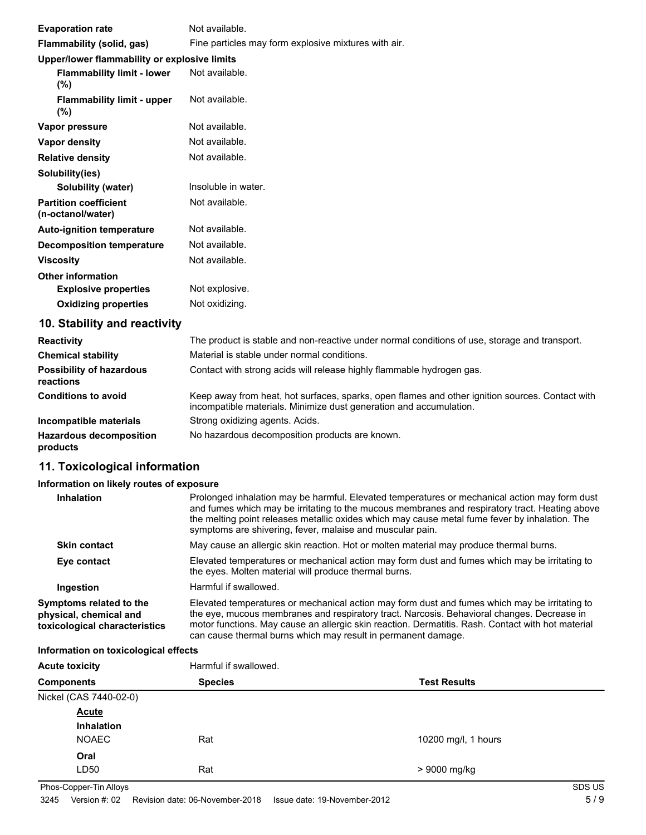| <b>Evaporation rate</b>                           | Not available.                                       |
|---------------------------------------------------|------------------------------------------------------|
| Flammability (solid, gas)                         | Fine particles may form explosive mixtures with air. |
| Upper/lower flammability or explosive limits      |                                                      |
| <b>Flammability limit - lower</b><br>(%)          | Not available.                                       |
| <b>Flammability limit - upper</b><br>(%)          | Not available.                                       |
| Vapor pressure                                    | Not available.                                       |
| Vapor density                                     | Not available.                                       |
| <b>Relative density</b>                           | Not available.                                       |
| Solubility(ies)                                   |                                                      |
| Solubility (water)                                | Insoluble in water.                                  |
| <b>Partition coefficient</b><br>(n-octanol/water) | Not available.                                       |
| <b>Auto-ignition temperature</b>                  | Not available.                                       |
| <b>Decomposition temperature</b>                  | Not available.                                       |
| <b>Viscosity</b>                                  | Not available.                                       |
| <b>Other information</b>                          |                                                      |
| <b>Explosive properties</b>                       | Not explosive.                                       |
| <b>Oxidizing properties</b>                       | Not oxidizing.                                       |
| 10. Stability and reactivity                      |                                                      |

| <b>Reactivity</b>                            | The product is stable and non-reactive under normal conditions of use, storage and transport.                                                                         |
|----------------------------------------------|-----------------------------------------------------------------------------------------------------------------------------------------------------------------------|
| <b>Chemical stability</b>                    | Material is stable under normal conditions.                                                                                                                           |
| <b>Possibility of hazardous</b><br>reactions | Contact with strong acids will release highly flammable hydrogen gas.                                                                                                 |
| <b>Conditions to avoid</b>                   | Keep away from heat, hot surfaces, sparks, open flames and other ignition sources. Contact with<br>incompatible materials. Minimize dust generation and accumulation. |
| Incompatible materials                       | Strong oxidizing agents. Acids.                                                                                                                                       |
| <b>Hazardous decomposition</b><br>products   | No hazardous decomposition products are known.                                                                                                                        |

# **11. Toxicological information**

# **Information on likely routes of exposure**

| Inhalation                                                                         | Prolonged inhalation may be harmful. Elevated temperatures or mechanical action may form dust<br>and fumes which may be irritating to the mucous membranes and respiratory tract. Heating above<br>the melting point releases metallic oxides which may cause metal fume fever by inhalation. The<br>symptoms are shivering, fever, malaise and muscular pain.    |
|------------------------------------------------------------------------------------|-------------------------------------------------------------------------------------------------------------------------------------------------------------------------------------------------------------------------------------------------------------------------------------------------------------------------------------------------------------------|
| <b>Skin contact</b>                                                                | May cause an allergic skin reaction. Hot or molten material may produce thermal burns.                                                                                                                                                                                                                                                                            |
| Eye contact                                                                        | Elevated temperatures or mechanical action may form dust and fumes which may be irritating to<br>the eyes. Molten material will produce thermal burns.                                                                                                                                                                                                            |
| Ingestion                                                                          | Harmful if swallowed.                                                                                                                                                                                                                                                                                                                                             |
| Symptoms related to the<br>physical, chemical and<br>toxicological characteristics | Elevated temperatures or mechanical action may form dust and fumes which may be irritating to<br>the eye, mucous membranes and respiratory tract. Narcosis. Behavioral changes. Decrease in<br>motor functions. May cause an allergic skin reaction. Dermatitis. Rash. Contact with hot material<br>can cause thermal burns which may result in permanent damage. |

# **Information on toxicological effects**

| <b>Acute toxicity</b>  | Harmful if swallowed.<br><b>Species</b><br><b>Test Results</b> |                     |
|------------------------|----------------------------------------------------------------|---------------------|
| <b>Components</b>      |                                                                |                     |
| Nickel (CAS 7440-02-0) |                                                                |                     |
| <b>Acute</b>           |                                                                |                     |
| Inhalation             |                                                                |                     |
| <b>NOAEC</b>           | Rat                                                            | 10200 mg/l, 1 hours |
| Oral                   |                                                                |                     |
| LD50                   | Rat                                                            | > 9000 mg/kg        |

Phos-Copper-Tin Alloys SDS US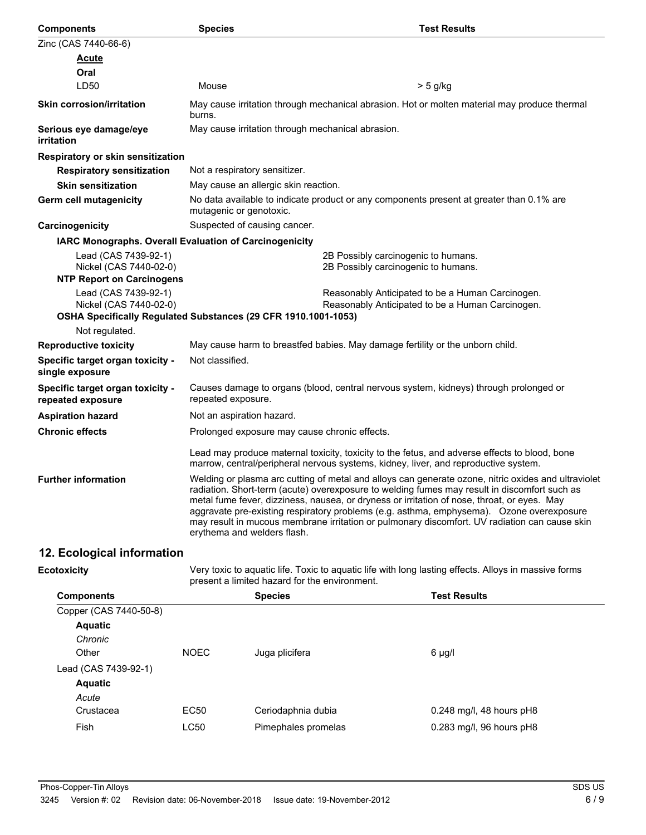| <b>Components</b>                                                                                                | <b>Species</b>                                | <b>Test Results</b>                                                                                                                                                                                                                                                                                                                                                                                                                                                                             |
|------------------------------------------------------------------------------------------------------------------|-----------------------------------------------|-------------------------------------------------------------------------------------------------------------------------------------------------------------------------------------------------------------------------------------------------------------------------------------------------------------------------------------------------------------------------------------------------------------------------------------------------------------------------------------------------|
| Zinc (CAS 7440-66-6)                                                                                             |                                               |                                                                                                                                                                                                                                                                                                                                                                                                                                                                                                 |
| <u>Acute</u>                                                                                                     |                                               |                                                                                                                                                                                                                                                                                                                                                                                                                                                                                                 |
| Oral                                                                                                             |                                               |                                                                                                                                                                                                                                                                                                                                                                                                                                                                                                 |
| LD <sub>50</sub>                                                                                                 | Mouse                                         | $> 5$ g/kg                                                                                                                                                                                                                                                                                                                                                                                                                                                                                      |
| <b>Skin corrosion/irritation</b>                                                                                 | burns.                                        | May cause irritation through mechanical abrasion. Hot or molten material may produce thermal                                                                                                                                                                                                                                                                                                                                                                                                    |
| Serious eye damage/eye<br>irritation                                                                             |                                               | May cause irritation through mechanical abrasion.                                                                                                                                                                                                                                                                                                                                                                                                                                               |
| Respiratory or skin sensitization                                                                                |                                               |                                                                                                                                                                                                                                                                                                                                                                                                                                                                                                 |
| <b>Respiratory sensitization</b>                                                                                 | Not a respiratory sensitizer.                 |                                                                                                                                                                                                                                                                                                                                                                                                                                                                                                 |
| <b>Skin sensitization</b>                                                                                        | May cause an allergic skin reaction.          |                                                                                                                                                                                                                                                                                                                                                                                                                                                                                                 |
| <b>Germ cell mutagenicity</b>                                                                                    | mutagenic or genotoxic.                       | No data available to indicate product or any components present at greater than 0.1% are                                                                                                                                                                                                                                                                                                                                                                                                        |
| Carcinogenicity                                                                                                  | Suspected of causing cancer.                  |                                                                                                                                                                                                                                                                                                                                                                                                                                                                                                 |
| IARC Monographs. Overall Evaluation of Carcinogenicity                                                           |                                               |                                                                                                                                                                                                                                                                                                                                                                                                                                                                                                 |
| Lead (CAS 7439-92-1)<br>Nickel (CAS 7440-02-0)<br><b>NTP Report on Carcinogens</b>                               |                                               | 2B Possibly carcinogenic to humans.<br>2B Possibly carcinogenic to humans.                                                                                                                                                                                                                                                                                                                                                                                                                      |
| Lead (CAS 7439-92-1)<br>Nickel (CAS 7440-02-0)<br>OSHA Specifically Regulated Substances (29 CFR 1910.1001-1053) |                                               | Reasonably Anticipated to be a Human Carcinogen.<br>Reasonably Anticipated to be a Human Carcinogen.                                                                                                                                                                                                                                                                                                                                                                                            |
| Not regulated.                                                                                                   |                                               |                                                                                                                                                                                                                                                                                                                                                                                                                                                                                                 |
| <b>Reproductive toxicity</b>                                                                                     |                                               | May cause harm to breastfed babies. May damage fertility or the unborn child.                                                                                                                                                                                                                                                                                                                                                                                                                   |
| Specific target organ toxicity -<br>single exposure                                                              | Not classified.                               |                                                                                                                                                                                                                                                                                                                                                                                                                                                                                                 |
| Specific target organ toxicity -<br>repeated exposure                                                            | repeated exposure.                            | Causes damage to organs (blood, central nervous system, kidneys) through prolonged or                                                                                                                                                                                                                                                                                                                                                                                                           |
| <b>Aspiration hazard</b>                                                                                         | Not an aspiration hazard.                     |                                                                                                                                                                                                                                                                                                                                                                                                                                                                                                 |
| <b>Chronic effects</b>                                                                                           | Prolonged exposure may cause chronic effects. |                                                                                                                                                                                                                                                                                                                                                                                                                                                                                                 |
|                                                                                                                  |                                               | Lead may produce maternal toxicity, toxicity to the fetus, and adverse effects to blood, bone<br>marrow, central/peripheral nervous systems, kidney, liver, and reproductive system.                                                                                                                                                                                                                                                                                                            |
| <b>Further information</b>                                                                                       | erythema and welders flash.                   | Welding or plasma arc cutting of metal and alloys can generate ozone, nitric oxides and ultraviolet<br>radiation. Short-term (acute) overexposure to welding fumes may result in discomfort such as<br>metal fume fever, dizziness, nausea, or dryness or irritation of nose, throat, or eyes. May<br>aggravate pre-existing respiratory problems (e.g. asthma, emphysema). Ozone overexposure<br>may result in mucous membrane irritation or pulmonary discomfort. UV radiation can cause skin |
|                                                                                                                  |                                               |                                                                                                                                                                                                                                                                                                                                                                                                                                                                                                 |

# **12. Ecological information**

**Ecotoxicity**

Very toxic to aquatic life. Toxic to aquatic life with long lasting effects. Alloys in massive forms present a limited hazard for the environment.

| <b>Components</b>      |             | <b>Species</b>      | <b>Test Results</b>        |
|------------------------|-------------|---------------------|----------------------------|
| Copper (CAS 7440-50-8) |             |                     |                            |
| <b>Aquatic</b>         |             |                     |                            |
| Chronic                |             |                     |                            |
| Other                  | <b>NOEC</b> | Juga plicifera      | 6 µg/l                     |
| Lead (CAS 7439-92-1)   |             |                     |                            |
| <b>Aquatic</b>         |             |                     |                            |
| Acute                  |             |                     |                            |
| Crustacea              | EC50        | Ceriodaphnia dubia  | $0.248$ mg/l, 48 hours pH8 |
| Fish                   | LC50        | Pimephales promelas | 0.283 mg/l, 96 hours pH8   |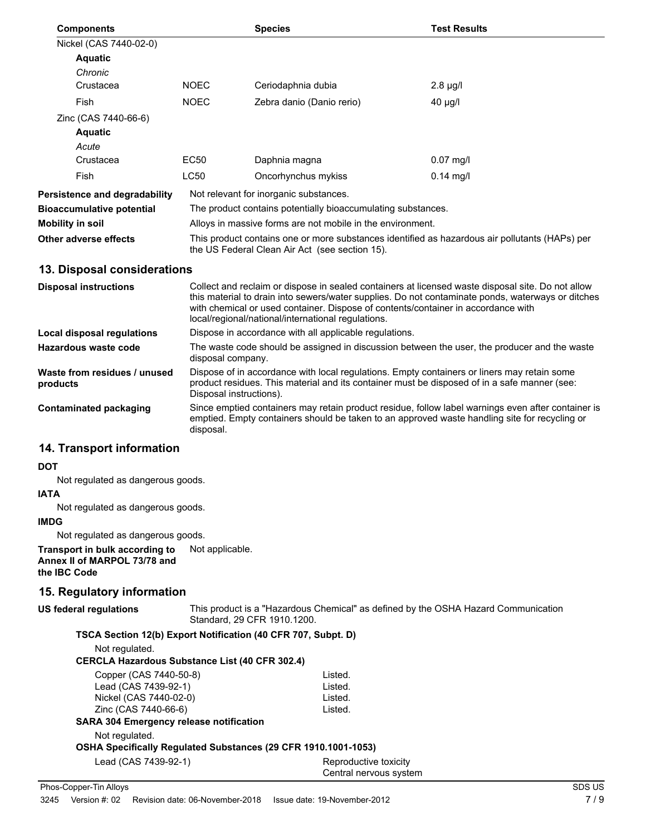| <b>Components</b>             |                                                                                                                                                  | <b>Species</b>                                               | <b>Test Results</b> |
|-------------------------------|--------------------------------------------------------------------------------------------------------------------------------------------------|--------------------------------------------------------------|---------------------|
| Nickel (CAS 7440-02-0)        |                                                                                                                                                  |                                                              |                     |
| <b>Aquatic</b>                |                                                                                                                                                  |                                                              |                     |
| Chronic                       |                                                                                                                                                  |                                                              |                     |
| Crustacea                     | <b>NOEC</b>                                                                                                                                      | Ceriodaphnia dubia                                           | $2.8 \mu g/l$       |
| Fish                          | <b>NOEC</b>                                                                                                                                      | Zebra danio (Danio rerio)                                    | $40 \mu g/l$        |
| Zinc (CAS 7440-66-6)          |                                                                                                                                                  |                                                              |                     |
| <b>Aquatic</b>                |                                                                                                                                                  |                                                              |                     |
| Acute                         |                                                                                                                                                  |                                                              |                     |
| Crustacea                     | EC50                                                                                                                                             | Daphnia magna                                                | $0.07$ mg/l         |
| Fish                          | <b>LC50</b>                                                                                                                                      | Oncorhynchus mykiss                                          | $0.14$ mg/l         |
| Persistence and degradability |                                                                                                                                                  | Not relevant for inorganic substances.                       |                     |
| Bioaccumulative potential     |                                                                                                                                                  | The product contains potentially bioaccumulating substances. |                     |
| Mobility in soil              |                                                                                                                                                  | Alloys in massive forms are not mobile in the environment.   |                     |
| Other adverse effects         | This product contains one or more substances identified as hazardous air pollutants (HAPs) per<br>the US Federal Clean Air Act (see section 15). |                                                              |                     |

### **13. Disposal considerations**

| <b>Disposal instructions</b>             | Collect and reclaim or dispose in sealed containers at licensed waste disposal site. Do not allow<br>this material to drain into sewers/water supplies. Do not contaminate ponds, waterways or ditches<br>with chemical or used container. Dispose of contents/container in accordance with<br>local/regional/national/international regulations. |
|------------------------------------------|---------------------------------------------------------------------------------------------------------------------------------------------------------------------------------------------------------------------------------------------------------------------------------------------------------------------------------------------------|
| Local disposal regulations               | Dispose in accordance with all applicable regulations.                                                                                                                                                                                                                                                                                            |
| Hazardous waste code                     | The waste code should be assigned in discussion between the user, the producer and the waste<br>disposal company.                                                                                                                                                                                                                                 |
| Waste from residues / unused<br>products | Dispose of in accordance with local regulations. Empty containers or liners may retain some<br>product residues. This material and its container must be disposed of in a safe manner (see:<br>Disposal instructions).                                                                                                                            |
| Contaminated packaging                   | Since emptied containers may retain product residue, follow label warnings even after container is<br>emptied. Empty containers should be taken to an approved waste handling site for recycling or<br>disposal.                                                                                                                                  |

### **14. Transport information**

#### **DOT**

Not regulated as dangerous goods.

### **IATA**

Not regulated as dangerous goods.

### **IMDG**

Not regulated as dangerous goods.

**Transport in bulk according to** Not applicable. **Annex II of MARPOL 73/78 and the IBC Code**

### **15. Regulatory information**

# **US federal regulations**

This product is a "Hazardous Chemical" as defined by the OSHA Hazard Communication Standard, 29 CFR 1910.1200.

### **TSCA Section 12(b) Export Notification (40 CFR 707, Subpt. D)**

Not regulated.

### **CERCLA Hazardous Substance List (40 CFR 302.4)**

| Copper (CAS 7440-50-8)                                         | Listed. |
|----------------------------------------------------------------|---------|
| Lead (CAS 7439-92-1)                                           | Listed. |
| Nickel (CAS 7440-02-0)                                         | Listed. |
| Zinc (CAS 7440-66-6)                                           | Listed. |
| <b>SARA 304 Emergency release notification</b>                 |         |
| Not regulated.                                                 |         |
| OSHA Specifically Regulated Substances (29 CFR 1910.1001-1053) |         |

Lead (CAS 7439-92-1) Reproductive toxicity

Central nervous system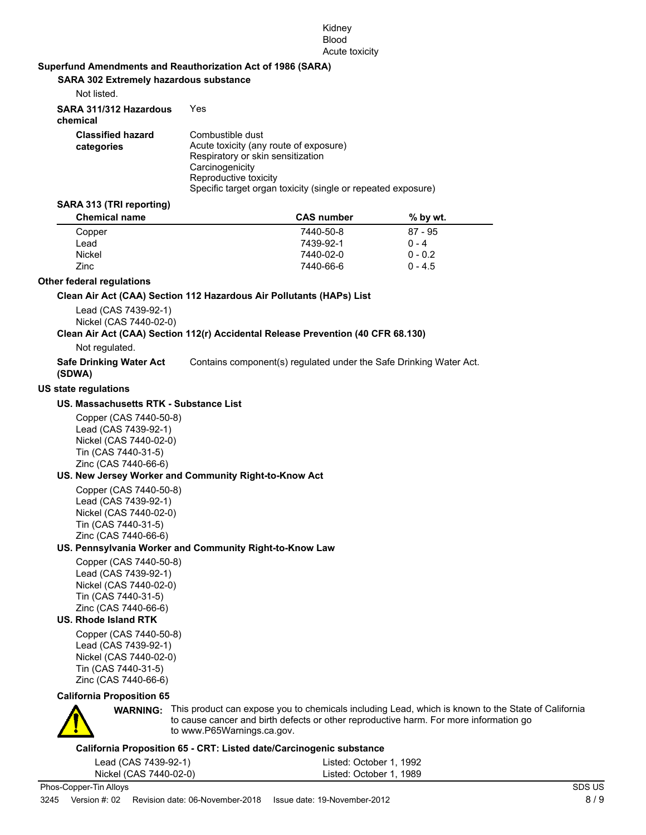### Kidney Blood Acute toxicity

### **Superfund Amendments and Reauthorization Act of 1986 (SARA)**

**SARA 302 Extremely hazardous substance**

| Not listed.                            |                                                                                                                                                                                                             |
|----------------------------------------|-------------------------------------------------------------------------------------------------------------------------------------------------------------------------------------------------------------|
| SARA 311/312 Hazardous<br>chemical     | Yes                                                                                                                                                                                                         |
| <b>Classified hazard</b><br>categories | Combustible dust<br>Acute toxicity (any route of exposure)<br>Respiratory or skin sensitization<br>Carcinogenicity<br>Reproductive toxicity<br>Specific target organ toxicity (single or repeated exposure) |

#### **SARA 313 (TRI reporting)**

| <b>CAS</b> number | $%$ by wt. |  |
|-------------------|------------|--|
| 7440-50-8         | $87 - 95$  |  |
| 7439-92-1         | $0 - 4$    |  |
| 7440-02-0         | $0 - 0.2$  |  |
| 7440-66-6         | $0 - 4.5$  |  |
|                   |            |  |

### **Other federal regulations**

#### **Clean Air Act (CAA) Section 112 Hazardous Air Pollutants (HAPs) List**

Lead (CAS 7439-92-1) Nickel (CAS 7440-02-0)

### **Clean Air Act (CAA) Section 112(r) Accidental Release Prevention (40 CFR 68.130)**

Not regulated.

**Safe Drinking Water Act** Contains component(s) regulated under the Safe Drinking Water Act.

**(SDWA) US state regulations**

### **US. Massachusetts RTK - Substance List**

Copper (CAS 7440-50-8) Lead (CAS 7439-92-1) Nickel (CAS 7440-02-0) Tin (CAS 7440-31-5) Zinc (CAS 7440-66-6)

### **US. New Jersey Worker and Community Right-to-Know Act**

Copper (CAS 7440-50-8) Lead (CAS 7439-92-1) Nickel (CAS 7440-02-0) Tin (CAS 7440-31-5) Zinc (CAS 7440-66-6)

#### **US. Pennsylvania Worker and Community Right-to-Know Law**

Copper (CAS 7440-50-8) Lead (CAS 7439-92-1) Nickel (CAS 7440-02-0) Tin (CAS 7440-31-5) Zinc (CAS 7440-66-6)

### **US. Rhode Island RTK**

Copper (CAS 7440-50-8) Lead (CAS 7439-92-1) Nickel (CAS 7440-02-0) Tin (CAS 7440-31-5) Zinc (CAS 7440-66-6)

#### **California Proposition 65**



**WARNING:** This product can expose you to chemicals including Lead, which is known to the State of California to cause cancer and birth defects or other reproductive harm. For more information go to www.P65Warnings.ca.gov.

### **California Proposition 65 - CRT: Listed date/Carcinogenic substance**

| Lead (CAS 7439-92-1)   | Listed: October 1, 1992 |
|------------------------|-------------------------|
| Nickel (CAS 7440-02-0) | Listed: October 1, 1989 |